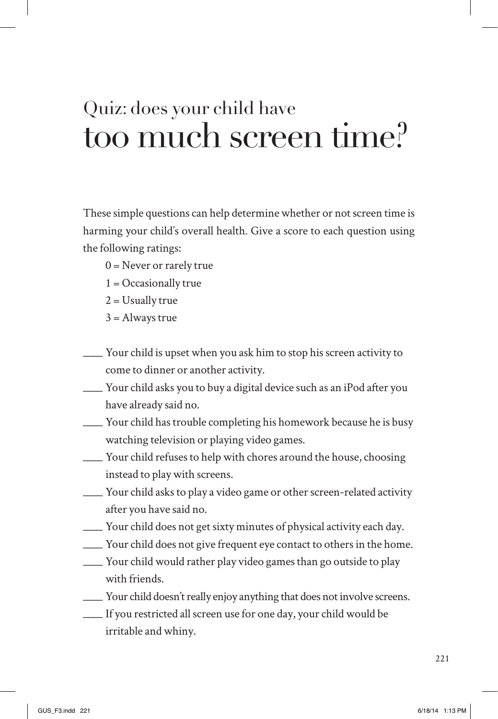## Quiz: does your child have too much screen time?

These simple questions can help determine whether or not screen time is harming your child's overall health. Give a score to each question using the following ratings:

- $0 =$  Never or rarely true
- $1 = Occasionally true$
- $2 =$  Usually true
- $3 =$  Always true
- \_\_\_\_ Your child is upset when you ask him to stop his screen activity to come to dinner or another activity.
- \_\_\_\_ Your child asks you to buy a digital device such as an iPod after you have already said no.
- \_\_\_\_ Your child has trouble completing his homework because he is busy watching television or playing video games.
- \_\_\_\_ Your child refuses to help with chores around the house, choosing instead to play with screens.
- \_\_\_\_ Your child asks to play a video game or other screen-related activity after you have said no.
- \_\_\_\_ Your child does not get sixty minutes of physical activity each day.
- \_\_\_\_ Your child does not give frequent eye contact to others in the home.
- \_\_\_\_ Your child would rather play video games than go outside to play with friends.
- \_\_\_\_ Your child doesn't really enjoy anything that does not involve screens.
- \_\_\_\_ If you restricted all screen use for one day, your child would be irritable and whiny.